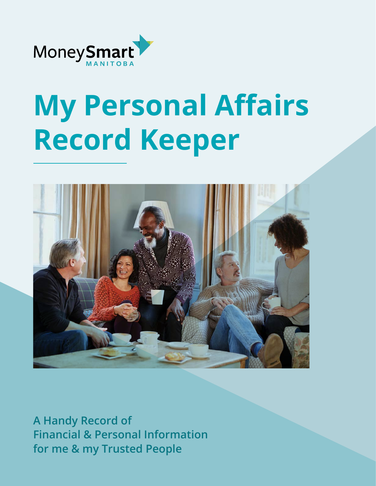

# **My Personal Affairs Record Keeper**



**A Handy Record of Financial & Personal Information for me & my Trusted People**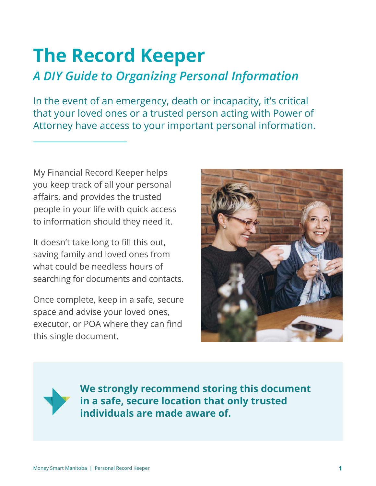# **The Record Keeper**

# *A DIY Guide to Organizing Personal Information*

In the event of an emergency, death or incapacity, it's critical that your loved ones or a trusted person acting with Power of Attorney have access to your important personal information.

My Financial Record Keeper helps you keep track of all your personal affairs, and provides the trusted people in your life with quick access to information should they need it.

It doesn't take long to fill this out, saving family and loved ones from what could be needless hours of searching for documents and contacts.

Once complete, keep in a safe, secure space and advise your loved ones, executor, or POA where they can find this single document.



**We strongly recommend storing this document in a safe, secure location that only trusted individuals are made aware of.**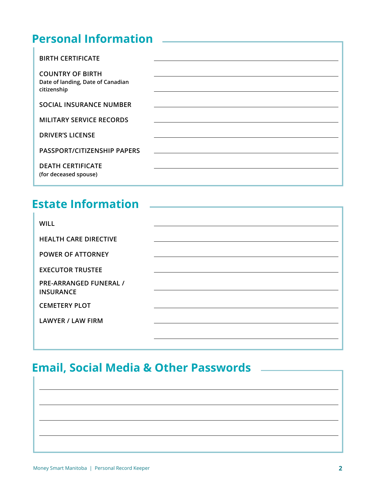#### **Personal Information**

| <b>BIRTH CERTIFICATE</b>                                                    |  |
|-----------------------------------------------------------------------------|--|
| <b>COUNTRY OF BIRTH</b><br>Date of landing, Date of Canadian<br>citizenship |  |
| <b>SOCIAL INSURANCE NUMBER</b>                                              |  |
| <b>MILITARY SERVICE RECORDS</b>                                             |  |
| <b>DRIVER'S LICENSE</b>                                                     |  |
| PASSPORT/CITIZENSHIP PAPERS                                                 |  |
| <b>DEATH CERTIFICATE</b><br>(for deceased spouse)                           |  |

#### **Estate Information**

| <b>WILL</b>                                       |  |
|---------------------------------------------------|--|
| <b>HEALTH CARE DIRECTIVE</b>                      |  |
| <b>POWER OF ATTORNEY</b>                          |  |
| <b>EXECUTOR TRUSTEE</b>                           |  |
| <b>PRE-ARRANGED FUNERAL /</b><br><b>INSURANCE</b> |  |
| <b>CEMETERY PLOT</b>                              |  |
| <b>LAWYER / LAW FIRM</b>                          |  |
|                                                   |  |

## **Email, Social Media & Other Passwords**

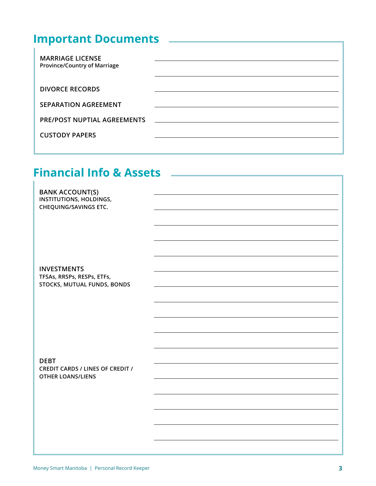# **Important Documents**

| <b>MARRIAGE LICENSE</b><br><b>Province/Country of Marriage</b> |                                                             |
|----------------------------------------------------------------|-------------------------------------------------------------|
| <b>DIVORCE RECORDS</b>                                         |                                                             |
| <b>SEPARATION AGREEMENT</b>                                    |                                                             |
| <b>PRE/POST NUPTIAL AGREEMENTS</b>                             | <u> 1980 - Jan James James, margolar fizikar (h. 1980).</u> |
| <b>CUSTODY PAPERS</b>                                          |                                                             |
|                                                                |                                                             |

# **Financial Info & Assets**

| <b>BANK ACCOUNT(S)</b><br>INSTITUTIONS, HOLDINGS,<br>CHEQUING/SAVINGS ETC.         |  |
|------------------------------------------------------------------------------------|--|
| <b>INVESTMENTS</b><br>TFSAs, RRSPs, RESPs, ETFs,                                   |  |
| STOCKS, MUTUAL FUNDS, BONDS                                                        |  |
| <b>DEBT</b><br><b>CREDIT CARDS / LINES OF CREDIT /</b><br><b>OTHER LOANS/LIENS</b> |  |
|                                                                                    |  |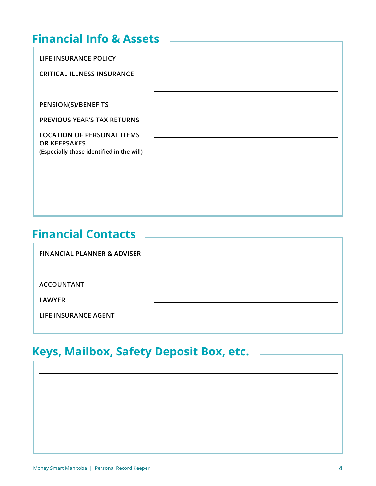# **Financial Info & Assets**

| LIFE INSURANCE POLICY<br><b>CRITICAL ILLNESS INSURANCE</b>                                            |  |
|-------------------------------------------------------------------------------------------------------|--|
| PENSION(S)/BENEFITS<br><b>PREVIOUS YEAR'S TAX RETURNS</b>                                             |  |
| <b>LOCATION OF PERSONAL ITEMS</b><br><b>OR KEEPSAKES</b><br>(Especially those identified in the will) |  |
|                                                                                                       |  |
|                                                                                                       |  |

#### **Financial Contacts**

| <b>FINANCIAL PLANNER &amp; ADVISER</b> | and the state of the state of the state of the state of the state of the state of the state of the state of the |
|----------------------------------------|-----------------------------------------------------------------------------------------------------------------|
|                                        |                                                                                                                 |
| <b>ACCOUNTANT</b>                      |                                                                                                                 |
| <b>LAWYER</b>                          |                                                                                                                 |
| LIFE INSURANCE AGENT                   |                                                                                                                 |
|                                        |                                                                                                                 |

## **Keys, Mailbox, Safety Deposit Box, etc.**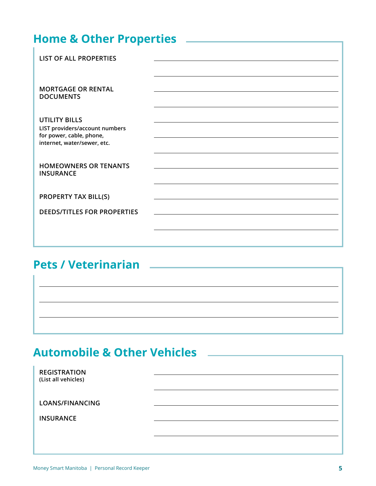| <b>Home &amp; Other Properties</b>                                                                                |  |
|-------------------------------------------------------------------------------------------------------------------|--|
| <b>LIST OF ALL PROPERTIES</b>                                                                                     |  |
| <b>MORTGAGE OR RENTAL</b><br><b>DOCUMENTS</b>                                                                     |  |
| <b>UTILITY BILLS</b><br>LIST providers/account numbers<br>for power, cable, phone,<br>internet, water/sewer, etc. |  |
| <b>HOMEOWNERS OR TENANTS</b><br><b>INSURANCE</b>                                                                  |  |
| <b>PROPERTY TAX BILL(S)</b>                                                                                       |  |
| <b>DEEDS/TITLES FOR PROPERTIES</b>                                                                                |  |

#### **Pets / Veterinarian**

# **Automobile & Other Vehicles**

| <b>REGISTRATION</b><br>(List all vehicles) |  |
|--------------------------------------------|--|
| LOANS/FINANCING                            |  |
| <b>INSURANCE</b>                           |  |
|                                            |  |
|                                            |  |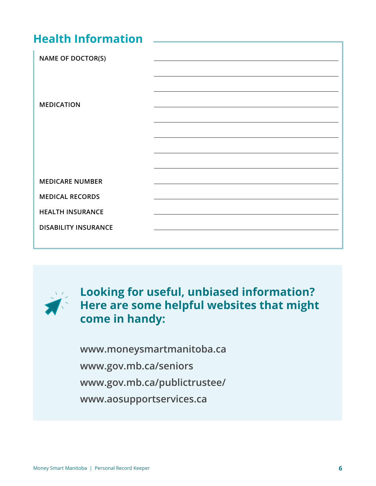#### **Health Information**

| <b>NAME OF DOCTOR(S)</b>    |  |
|-----------------------------|--|
|                             |  |
| <b>MEDICATION</b>           |  |
|                             |  |
|                             |  |
|                             |  |
|                             |  |
| <b>MEDICARE NUMBER</b>      |  |
| <b>MEDICAL RECORDS</b>      |  |
| <b>HEALTH INSURANCE</b>     |  |
| <b>DISABILITY INSURANCE</b> |  |
|                             |  |



**Looking for useful, unbiased information? Here are some helpful websites that might come in handy:**

**www.moneysmartmanitoba.ca www.gov.mb.ca/seniors www.gov.mb.ca/publictrustee/ www.aosupportservices.ca**